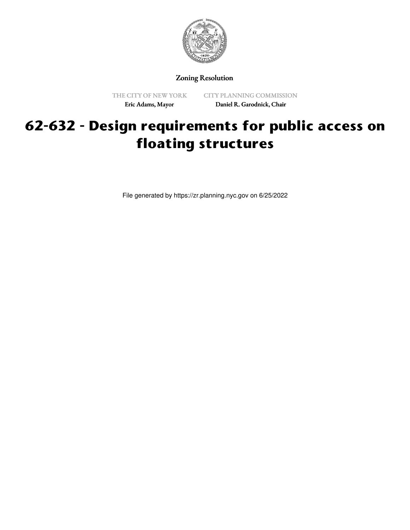

Zoning Resolution

THE CITY OF NEW YORK Eric Adams, Mayor

CITY PLANNING COMMISSION Daniel R. Garodnick, Chair

# **62-632 - Design requirements for public access on floating structures**

File generated by https://zr.planning.nyc.gov on 6/25/2022